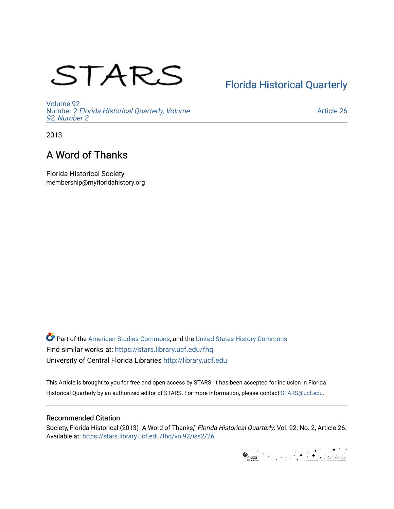# STARS

## [Florida Historical Quarterly](https://stars.library.ucf.edu/fhq)

[Volume 92](https://stars.library.ucf.edu/fhq/vol92) Number 2 [Florida Historical Quarterly, Volume](https://stars.library.ucf.edu/fhq/vol92/iss2)  [92, Number 2](https://stars.library.ucf.edu/fhq/vol92/iss2)

[Article 26](https://stars.library.ucf.edu/fhq/vol92/iss2/26) 

2013

### A Word of Thanks

Florida Historical Society membership@myfloridahistory.org

**C** Part of the [American Studies Commons](http://network.bepress.com/hgg/discipline/439?utm_source=stars.library.ucf.edu%2Ffhq%2Fvol92%2Fiss2%2F26&utm_medium=PDF&utm_campaign=PDFCoverPages), and the United States History Commons Find similar works at: <https://stars.library.ucf.edu/fhq> University of Central Florida Libraries [http://library.ucf.edu](http://library.ucf.edu/) 

This Article is brought to you for free and open access by STARS. It has been accepted for inclusion in Florida Historical Quarterly by an authorized editor of STARS. For more information, please contact [STARS@ucf.edu.](mailto:STARS@ucf.edu)

#### Recommended Citation

Society, Florida Historical (2013) "A Word of Thanks," Florida Historical Quarterly: Vol. 92: No. 2, Article 26. Available at: [https://stars.library.ucf.edu/fhq/vol92/iss2/26](https://stars.library.ucf.edu/fhq/vol92/iss2/26?utm_source=stars.library.ucf.edu%2Ffhq%2Fvol92%2Fiss2%2F26&utm_medium=PDF&utm_campaign=PDFCoverPages)